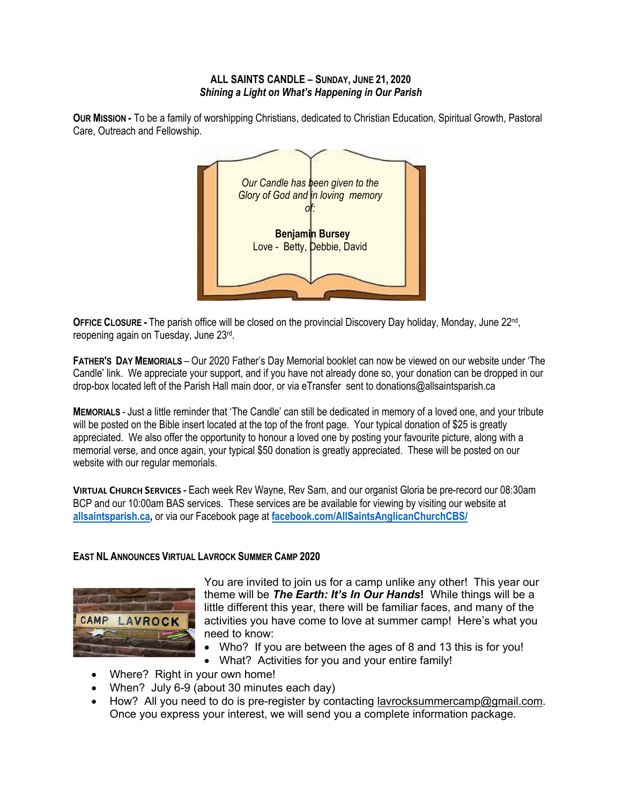## **ALL SAINTS CANDLE – SUNDAY, JUNE 21, 2020** *Shining a Light on What's Happening in Our Parish*

*Our Candle has been given to the Glory of God and in loving memory of:*  **Benjamin Bursey** Love - Betty, Debbie, David

**OUR MISSION -** To be a family of worshipping Christians, dedicated to Christian Education, Spiritual Growth, Pastoral Care, Outreach and Fellowship.

**OFFICE CLOSURE -** The parish office will be closed on the provincial Discovery Day holiday, Monday, June 22nd, reopening again on Tuesday, June 23rd.

**FATHER'S DAY MEMORIALS** – Our 2020 Father's Day Memorial booklet can now be viewed on our website under 'The Candle' link. We appreciate your support, and if you have not already done so, your donation can be dropped in our drop-box located left of the Parish Hall main door, or via eTransfer sent to donations@allsaintsparish.ca

**MEMORIALS** - Just a little reminder that 'The Candle' can still be dedicated in memory of a loved one, and your tribute will be posted on the Bible insert located at the top of the front page. Your typical donation of \$25 is greatly appreciated. We also offer the opportunity to honour a loved one by posting your favourite picture, along with a memorial verse, and once again, your typical \$50 donation is greatly appreciated. These will be posted on our website with our regular memorials.

**VIRTUAL CHURCH SERVICES -** Each week Rev Wayne, Rev Sam, and our organist Gloria be pre-record our 08:30am BCP and our 10:00am BAS services. These services are be available for viewing by visiting our website at **allsaintsparish.ca,** or via our Facebook page at **facebook.com/AllSaintsAnglicanChurchCBS/**

## **EAST NL ANNOUNCES VIRTUAL LAVROCK SUMMER CAMP 2020**



You are invited to join us for a camp unlike any other! This year our theme will be *The Earth: It's In Our Hands***!** While things will be a little different this year, there will be familiar faces, and many of the activities you have come to love at summer camp! Here's what you need to know:

- Who? If you are between the ages of 8 and 13 this is for you!
- What? Activities for you and your entire family!
- Where? Right in your own home!
- When? July 6-9 (about 30 minutes each day)
- How? All you need to do is pre-register by contacting lavrocksummercamp@gmail.com. Once you express your interest, we will send you a complete information package.